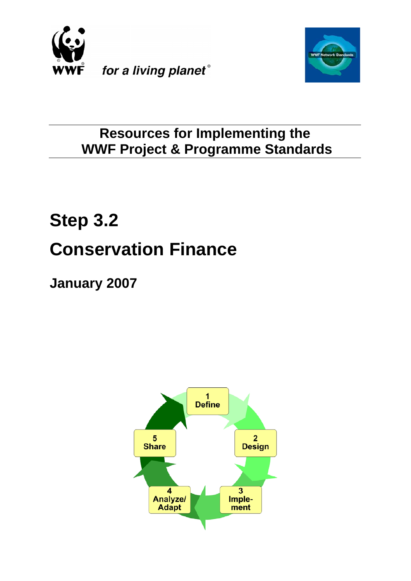



# **Resources for Implementing the WWF Project & Programme Standards**

# **Step 3.2 Conservation Finance**

**January 2007**

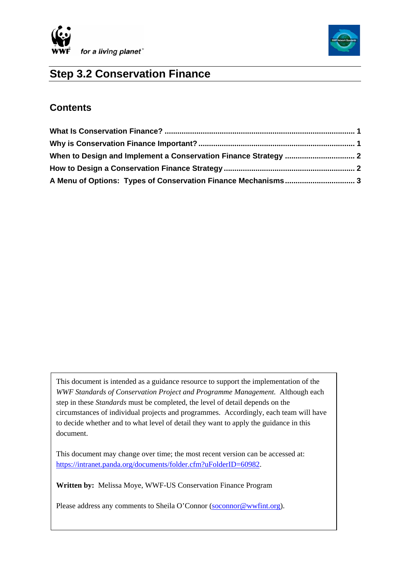



# **Step 3.2 Conservation Finance**

### **Contents**

This document is intended as a guidance resource to support the implementation of the *WWF Standards of Conservation Project and Programme Management.* Although each step in these *Standards* must be completed, the level of detail depends on the circumstances of individual projects and programmes. Accordingly, each team will have to decide whether and to what level of detail they want to apply the guidance in this document.

This document may change over time; the most recent version can be accessed at: https://intranet.panda.org/documents/folder.cfm?uFolderID=60982.

**Written by:** Melissa Moye, WWF-US Conservation Finance Program

Please address any comments to Sheila O'Connor [\(soconnor@wwfint.org](mailto:soconnor@wwfint.org)).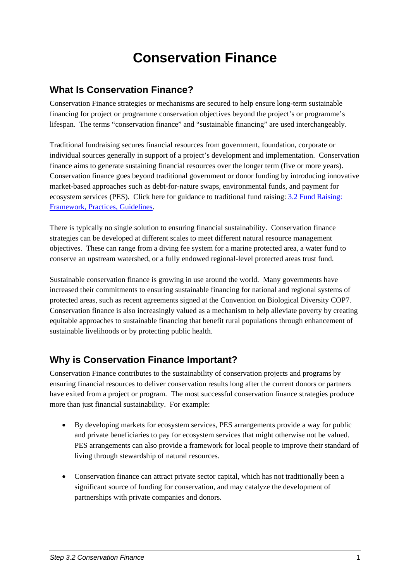# **Conservation Finance**

## <span id="page-2-0"></span>**What Is Conservation Finance?**

Conservation Finance strategies or mechanisms are secured to help ensure long-term sustainable financing for project or programme conservation objectives beyond the project's or programme's lifespan. The terms "conservation finance" and "sustainable financing" are used interchangeably.

Traditional fundraising secures financial resources from government, foundation, corporate or individual sources generally in support of a project's development and implementation. Conservation finance aims to generate sustaining financial resources over the longer term (five or more years). Conservation finance goes beyond traditional government or donor funding by introducing innovative market-based approaches such as debt-for-nature swaps, environmental funds, and payment for ecosystem services (PES). Click here for guidance to traditional fund raising: [3.2 Fund Raising:](https://intranet.panda.org/documents/folder.cfm?uFolderID=60982&ticket=ST-25717-eTe226HeE4CdgBcsY49y)  [Framework, Practices, Guidelines](https://intranet.panda.org/documents/folder.cfm?uFolderID=60982&ticket=ST-25717-eTe226HeE4CdgBcsY49y).

There is typically no single solution to ensuring financial sustainability. Conservation finance strategies can be developed at different scales to meet different natural resource management objectives. These can range from a diving fee system for a marine protected area, a water fund to conserve an upstream watershed, or a fully endowed regional-level protected areas trust fund.

Sustainable conservation finance is growing in use around the world. Many governments have increased their commitments to ensuring sustainable financing for national and regional systems of protected areas, such as recent agreements signed at the Convention on Biological Diversity COP7. Conservation finance is also increasingly valued as a mechanism to help alleviate poverty by creating equitable approaches to sustainable financing that benefit rural populations through enhancement of sustainable livelihoods or by protecting public health.

# **Why is Conservation Finance Important?**

Conservation Finance contributes to the sustainability of conservation projects and programs by ensuring financial resources to deliver conservation results long after the current donors or partners have exited from a project or program. The most successful conservation finance strategies produce more than just financial sustainability. For example:

- By developing markets for ecosystem services, PES arrangements provide a way for public and private beneficiaries to pay for ecosystem services that might otherwise not be valued. PES arrangements can also provide a framework for local people to improve their standard of living through stewardship of natural resources.
- Conservation finance can attract private sector capital, which has not traditionally been a significant source of funding for conservation, and may catalyze the development of partnerships with private companies and donors.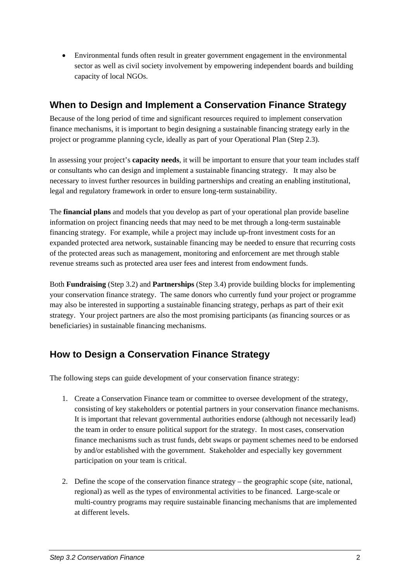<span id="page-3-0"></span>• Environmental funds often result in greater government engagement in the environmental sector as well as civil society involvement by empowering independent boards and building capacity of local NGOs.

# **When to Design and Implement a Conservation Finance Strategy**

Because of the long period of time and significant resources required to implement conservation finance mechanisms, it is important to begin designing a sustainable financing strategy early in the project or programme planning cycle, ideally as part of your Operational Plan (Step 2.3).

In assessing your project's **capacity needs**, it will be important to ensure that your team includes staff or consultants who can design and implement a sustainable financing strategy. It may also be necessary to invest further resources in building partnerships and creating an enabling institutional, legal and regulatory framework in order to ensure long-term sustainability.

The **financial plans** and models that you develop as part of your operational plan provide baseline information on project financing needs that may need to be met through a long-term sustainable financing strategy. For example, while a project may include up-front investment costs for an expanded protected area network, sustainable financing may be needed to ensure that recurring costs of the protected areas such as management, monitoring and enforcement are met through stable revenue streams such as protected area user fees and interest from endowment funds.

Both **Fundraising** (Step 3.2) and **Partnerships** (Step 3.4) provide building blocks for implementing your conservation finance strategy. The same donors who currently fund your project or programme may also be interested in supporting a sustainable financing strategy, perhaps as part of their exit strategy. Your project partners are also the most promising participants (as financing sources or as beneficiaries) in sustainable financing mechanisms.

## **How to Design a Conservation Finance Strategy**

The following steps can guide development of your conservation finance strategy:

- 1. Create a Conservation Finance team or committee to oversee development of the strategy, consisting of key stakeholders or potential partners in your conservation finance mechanisms. It is important that relevant governmental authorities endorse (although not necessarily lead) the team in order to ensure political support for the strategy. In most cases, conservation finance mechanisms such as trust funds, debt swaps or payment schemes need to be endorsed by and/or established with the government. Stakeholder and especially key government participation on your team is critical.
- 2. Define the scope of the conservation finance strategy the geographic scope (site, national, regional) as well as the types of environmental activities to be financed. Large-scale or multi-country programs may require sustainable financing mechanisms that are implemented at different levels.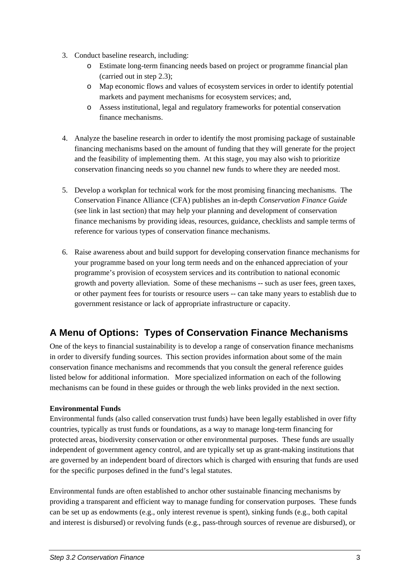- <span id="page-4-0"></span>3. Conduct baseline research, including:
	- o Estimate long-term financing needs based on project or programme financial plan (carried out in step 2.3);
	- o Map economic flows and values of ecosystem services in order to identify potential markets and payment mechanisms for ecosystem services; and,
	- o Assess institutional, legal and regulatory frameworks for potential conservation finance mechanisms.
- 4. Analyze the baseline research in order to identify the most promising package of sustainable financing mechanisms based on the amount of funding that they will generate for the project and the feasibility of implementing them. At this stage, you may also wish to prioritize conservation financing needs so you channel new funds to where they are needed most.
- 5. Develop a workplan for technical work for the most promising financing mechanisms. The Conservation Finance Alliance (CFA) publishes an in-depth *Conservation Finance Guide* (see link in last section) that may help your planning and development of conservation finance mechanisms by providing ideas, resources, guidance, checklists and sample terms of reference for various types of conservation finance mechanisms.
- 6. Raise awareness about and build support for developing conservation finance mechanisms for your programme based on your long term needs and on the enhanced appreciation of your programme's provision of ecosystem services and its contribution to national economic growth and poverty alleviation. Some of these mechanisms -- such as user fees, green taxes, or other payment fees for tourists or resource users -- can take many years to establish due to government resistance or lack of appropriate infrastructure or capacity.

# **A Menu of Options: Types of Conservation Finance Mechanisms**

One of the keys to financial sustainability is to develop a range of conservation finance mechanisms in order to diversify funding sources. This section provides information about some of the main conservation finance mechanisms and recommends that you consult the general reference guides listed below for additional information. More specialized information on each of the following mechanisms can be found in these guides or through the web links provided in the next section.

#### **Environmental Funds**

Environmental funds (also called conservation trust funds) have been legally established in over fifty countries, typically as trust funds or foundations, as a way to manage long-term financing for protected areas, biodiversity conservation or other environmental purposes. These funds are usually independent of government agency control, and are typically set up as grant-making institutions that are governed by an independent board of directors which is charged with ensuring that funds are used for the specific purposes defined in the fund's legal statutes.

Environmental funds are often established to anchor other sustainable financing mechanisms by providing a transparent and efficient way to manage funding for conservation purposes. These funds can be set up as endowments (e.g., only interest revenue is spent), sinking funds (e.g., both capital and interest is disbursed) or revolving funds (e.g., pass-through sources of revenue are disbursed), or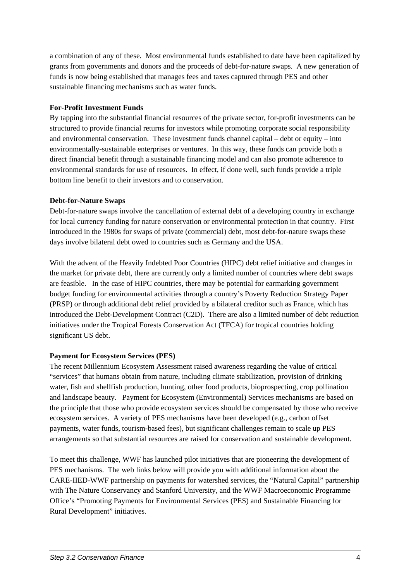a combination of any of these. Most environmental funds established to date have been capitalized by grants from governments and donors and the proceeds of debt-for-nature swaps. A new generation of funds is now being established that manages fees and taxes captured through PES and other sustainable financing mechanisms such as water funds.

#### **For-Profit Investment Funds**

By tapping into the substantial financial resources of the private sector, for-profit investments can be structured to provide financial returns for investors while promoting corporate social responsibility and environmental conservation. These investment funds channel capital – debt or equity – into environmentally-sustainable enterprises or ventures. In this way, these funds can provide both a direct financial benefit through a sustainable financing model and can also promote adherence to environmental standards for use of resources. In effect, if done well, such funds provide a triple bottom line benefit to their investors and to conservation.

#### **Debt-for-Nature Swaps**

Debt-for-nature swaps involve the cancellation of external debt of a developing country in exchange for local currency funding for nature conservation or environmental protection in that country. First introduced in the 1980s for swaps of private (commercial) debt, most debt-for-nature swaps these days involve bilateral debt owed to countries such as Germany and the USA.

With the advent of the Heavily Indebted Poor Countries (HIPC) debt relief initiative and changes in the market for private debt, there are currently only a limited number of countries where debt swaps are feasible. In the case of HIPC countries, there may be potential for earmarking government budget funding for environmental activities through a country's Poverty Reduction Strategy Paper (PRSP) or through additional debt relief provided by a bilateral creditor such as France, which has introduced the Debt-Development Contract (C2D). There are also a limited number of debt reduction initiatives under the Tropical Forests Conservation Act (TFCA) for tropical countries holding significant US debt.

#### **Payment for Ecosystem Services (PES)**

The recent Millennium Ecosystem Assessment raised awareness regarding the value of critical "services" that humans obtain from nature, including climate stabilization, provision of drinking water, fish and shellfish production, hunting, other food products, bioprospecting, crop pollination and landscape beauty. Payment for Ecosystem (Environmental) Services mechanisms are based on the principle that those who provide ecosystem services should be compensated by those who receive ecosystem services. A variety of PES mechanisms have been developed (e.g., carbon offset payments, water funds, tourism-based fees), but significant challenges remain to scale up PES arrangements so that substantial resources are raised for conservation and sustainable development.

To meet this challenge, WWF has launched pilot initiatives that are pioneering the development of PES mechanisms. The web links below will provide you with additional information about the CARE-IIED-WWF partnership on payments for watershed services, the "Natural Capital" partnership with The Nature Conservancy and Stanford University, and the WWF Macroeconomic Programme Office's "Promoting Payments for Environmental Services (PES) and Sustainable Financing for Rural Development" initiatives.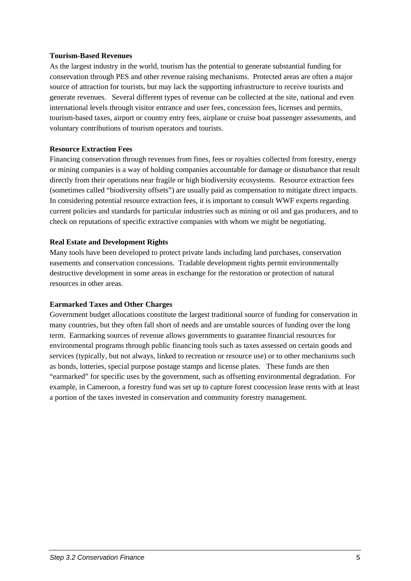#### **Tourism-Based Revenues**

As the largest industry in the world, tourism has the potential to generate substantial funding for conservation through PES and other revenue raising mechanisms. Protected areas are often a major source of attraction for tourists, but may lack the supporting infrastructure to receive tourists and generate revenues. Several different types of revenue can be collected at the site, national and even international levels through visitor entrance and user fees, concession fees, licenses and permits, tourism-based taxes, airport or country entry fees, airplane or cruise boat passenger assessments, and voluntary contributions of tourism operators and tourists.

#### **Resource Extraction Fees**

Financing conservation through revenues from fines, fees or royalties collected from forestry, energy or mining companies is a way of holding companies accountable for damage or disturbance that result directly from their operations near fragile or high biodiversity ecosystems. Resource extraction fees (sometimes called "biodiversity offsets") are usually paid as compensation to mitigate direct impacts. In considering potential resource extraction fees, it is important to consult WWF experts regarding current policies and standards for particular industries such as mining or oil and gas producers, and to check on reputations of specific extractive companies with whom we might be negotiating.

#### **Real Estate and Development Rights**

Many tools have been developed to protect private lands including land purchases, conservation easements and conservation concessions. Tradable development rights permit environmentally destructive development in some areas in exchange for the restoration or protection of natural resources in other areas.

#### **Earmarked Taxes and Other Charges**

Government budget allocations constitute the largest traditional source of funding for conservation in many countries, but they often fall short of needs and are unstable sources of funding over the long term. Earmarking sources of revenue allows governments to guarantee financial resources for environmental programs through public financing tools such as taxes assessed on certain goods and services (typically, but not always, linked to recreation or resource use) or to other mechanisms such as bonds, lotteries, special purpose postage stamps and license plates. These funds are then "earmarked" for specific uses by the government, such as offsetting environmental degradation. For example, in Cameroon, a forestry fund was set up to capture forest concession lease rents with at least a portion of the taxes invested in conservation and community forestry management.